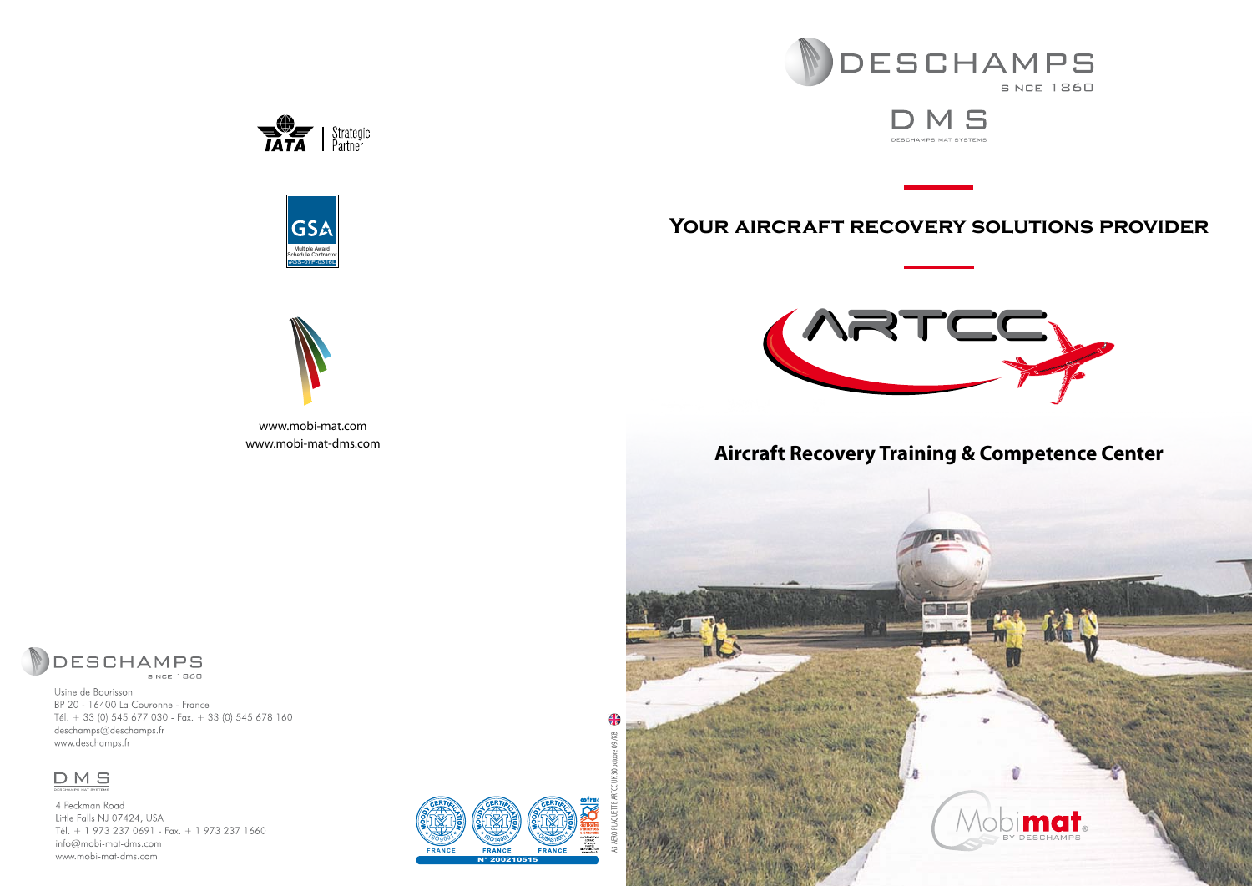







www.mobi-mat.com www.mobi-mat-dms.com





# **Aircraft Recovery Training & Competence Center**





**SINCE 1860** 

Usine de Bourisson BP 20 - 16400 La Couronne - France Tél. + 33 (0) 545 677 030 - Fax. + 33 (0) 545 678 160 deschamps@deschamps.fr www.deschamps.fr

# **DMS**

4 Peckman Road Little Falls NJ 07424, USA Tél. + 1 973 237 0691 - Fax. + 1 973 237 1660 info@mobi-mat-dms.com www.mobi-mat-dms.com